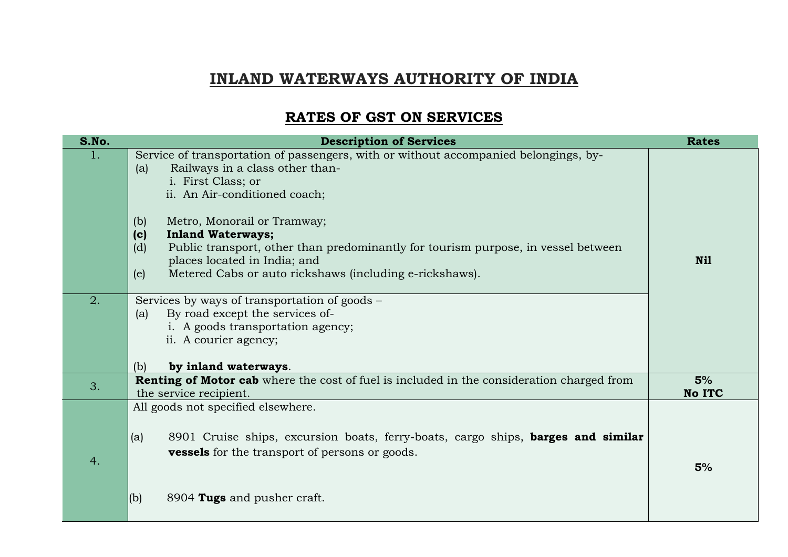## **INLAND WATERWAYS AUTHORITY OF INDIA**

## **RATES OF GST ON SERVICES**

| S.No. | <b>Description of Services</b>                                                                                                                                                                                                                                                                                                                                                                                                                               | <b>Rates</b>        |
|-------|--------------------------------------------------------------------------------------------------------------------------------------------------------------------------------------------------------------------------------------------------------------------------------------------------------------------------------------------------------------------------------------------------------------------------------------------------------------|---------------------|
| 1.    | Service of transportation of passengers, with or without accompanied belongings, by-<br>Railways in a class other than-<br>(a)<br>i. First Class; or<br>ii. An Air-conditioned coach;<br>Metro, Monorail or Tramway;<br>(b)<br>(c)<br><b>Inland Waterways;</b><br>(d)<br>Public transport, other than predominantly for tourism purpose, in vessel between<br>places located in India; and<br>Metered Cabs or auto rickshaws (including e-rickshaws).<br>(e) | Nil                 |
| 2.    | Services by ways of transportation of goods –<br>By road except the services of-<br>(a)<br>i. A goods transportation agency;<br>ii. A courier agency;<br>by inland waterways.<br>(b)                                                                                                                                                                                                                                                                         |                     |
| 3.    | Renting of Motor cab where the cost of fuel is included in the consideration charged from<br>the service recipient.                                                                                                                                                                                                                                                                                                                                          | 5%<br><b>No ITC</b> |
| 4.    | All goods not specified elsewhere.<br>8901 Cruise ships, excursion boats, ferry-boats, cargo ships, <b>barges and similar</b><br>(a)<br><b>vessels</b> for the transport of persons or goods.<br>(b)<br>8904 Tugs and pusher craft.                                                                                                                                                                                                                          | 5%                  |